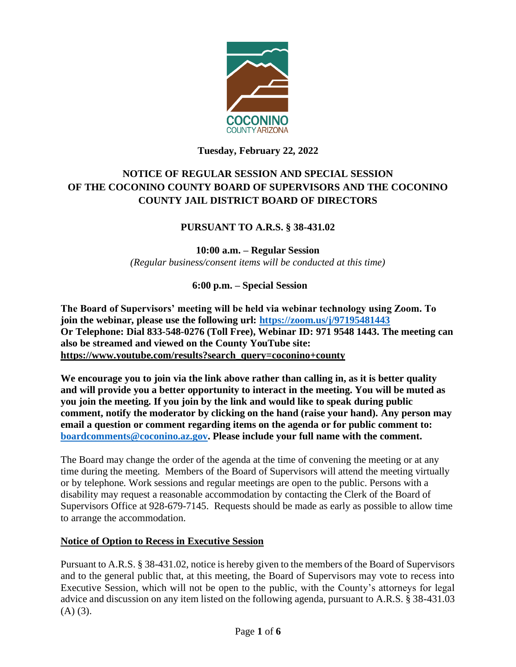

## **Tuesday, February 22, 2022**

# **NOTICE OF REGULAR SESSION AND SPECIAL SESSION OF THE COCONINO COUNTY BOARD OF SUPERVISORS AND THE COCONINO COUNTY JAIL DISTRICT BOARD OF DIRECTORS**

## **PURSUANT TO A.R.S. § 38-431.02**

**10:00 a.m. – Regular Session** *(Regular business/consent items will be conducted at this time)*

 **6:00 p.m. – Special Session**

**The Board of Supervisors' meeting will be held via webinar technology using Zoom. To join the webinar, please use the following url:<https://zoom.us/j/97195481443> Or Telephone: Dial 833-548-0276 (Toll Free), Webinar ID: 971 9548 1443. The meeting can also be streamed and viewed on the County YouTube site: [https://www.youtube.com/results?search\\_query=coconino+county](https://www.youtube.com/results?search_query=coconino+county)**

**We encourage you to join via the link above rather than calling in, as it is better quality and will provide you a better opportunity to interact in the meeting. You will be muted as you join the meeting. If you join by the link and would like to speak during public comment, notify the moderator by clicking on the hand (raise your hand). Any person may email a question or comment regarding items on the agenda or for public comment to: [boardcomments@coconino.az.gov.](mailto:boardcomments@coconino.az.gov) Please include your full name with the comment.** 

The Board may change the order of the agenda at the time of convening the meeting or at any time during the meeting. Members of the Board of Supervisors will attend the meeting virtually or by telephone. Work sessions and regular meetings are open to the public. Persons with a disability may request a reasonable accommodation by contacting the Clerk of the Board of Supervisors Office at 928-679-7145. Requests should be made as early as possible to allow time to arrange the accommodation.

## **Notice of Option to Recess in Executive Session**

Pursuant to A.R.S. § 38-431.02, notice is hereby given to the members of the Board of Supervisors and to the general public that, at this meeting, the Board of Supervisors may vote to recess into Executive Session, which will not be open to the public, with the County's attorneys for legal advice and discussion on any item listed on the following agenda, pursuant to A.R.S. § 38-431.03  $(A)$   $(3)$ .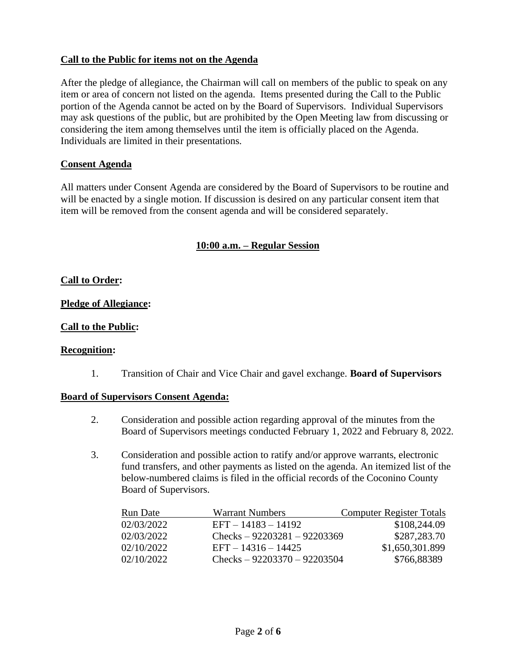### **Call to the Public for items not on the Agenda**

After the pledge of allegiance, the Chairman will call on members of the public to speak on any item or area of concern not listed on the agenda. Items presented during the Call to the Public portion of the Agenda cannot be acted on by the Board of Supervisors. Individual Supervisors may ask questions of the public, but are prohibited by the Open Meeting law from discussing or considering the item among themselves until the item is officially placed on the Agenda. Individuals are limited in their presentations.

#### **Consent Agenda**

All matters under Consent Agenda are considered by the Board of Supervisors to be routine and will be enacted by a single motion. If discussion is desired on any particular consent item that item will be removed from the consent agenda and will be considered separately.

### **10:00 a.m. – Regular Session**

#### **Call to Order:**

#### **Pledge of Allegiance:**

#### **Call to the Public:**

#### **Recognition:**

1. Transition of Chair and Vice Chair and gavel exchange. **Board of Supervisors**

#### **Board of Supervisors Consent Agenda:**

- 2. Consideration and possible action regarding approval of the minutes from the Board of Supervisors meetings conducted February 1, 2022 and February 8, 2022.
- 3. Consideration and possible action to ratify and/or approve warrants, electronic fund transfers, and other payments as listed on the agenda. An itemized list of the below-numbered claims is filed in the official records of the Coconino County Board of Supervisors.

| Run Date   | <b>Warrant Numbers</b>        | <b>Computer Register Totals</b> |
|------------|-------------------------------|---------------------------------|
| 02/03/2022 | $EFT - 14183 - 14192$         | \$108,244.09                    |
| 02/03/2022 | Checks $-92203281 - 92203369$ | \$287,283.70                    |
| 02/10/2022 | $EFT - 14316 - 14425$         | \$1,650,301.899                 |
| 02/10/2022 | Checks $-92203370 - 92203504$ | \$766,88389                     |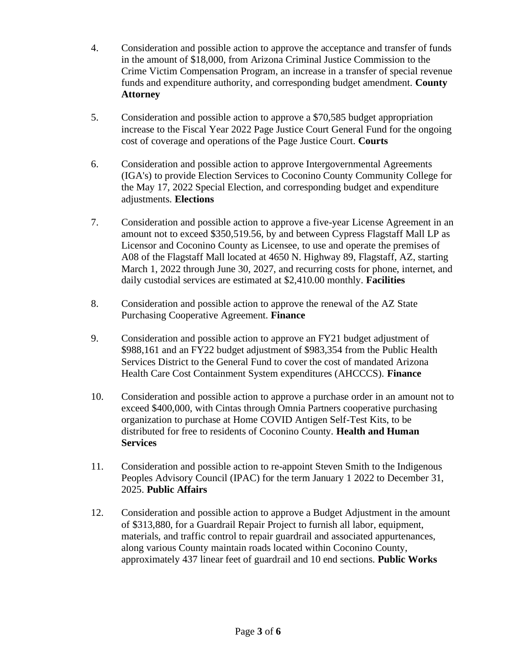- 4. Consideration and possible action to approve the acceptance and transfer of funds in the amount of \$18,000, from Arizona Criminal Justice Commission to the Crime Victim Compensation Program, an increase in a transfer of special revenue funds and expenditure authority, and corresponding budget amendment. **County Attorney**
- 5. Consideration and possible action to approve a \$70,585 budget appropriation increase to the Fiscal Year 2022 Page Justice Court General Fund for the ongoing cost of coverage and operations of the Page Justice Court. **Courts**
- 6. Consideration and possible action to approve Intergovernmental Agreements (IGA's) to provide Election Services to Coconino County Community College for the May 17, 2022 Special Election, and corresponding budget and expenditure adjustments. **Elections**
- 7. Consideration and possible action to approve a five-year License Agreement in an amount not to exceed \$350,519.56, by and between Cypress Flagstaff Mall LP as Licensor and Coconino County as Licensee, to use and operate the premises of A08 of the Flagstaff Mall located at 4650 N. Highway 89, Flagstaff, AZ, starting March 1, 2022 through June 30, 2027, and recurring costs for phone, internet, and daily custodial services are estimated at \$2,410.00 monthly. **Facilities**
- 8. Consideration and possible action to approve the renewal of the AZ State Purchasing Cooperative Agreement. **Finance**
- 9. Consideration and possible action to approve an FY21 budget adjustment of \$988,161 and an FY22 budget adjustment of \$983,354 from the Public Health Services District to the General Fund to cover the cost of mandated Arizona Health Care Cost Containment System expenditures (AHCCCS). **Finance**
- 10. Consideration and possible action to approve a purchase order in an amount not to exceed \$400,000, with Cintas through Omnia Partners cooperative purchasing organization to purchase at Home COVID Antigen Self-Test Kits, to be distributed for free to residents of Coconino County. **Health and Human Services**
- 11. Consideration and possible action to re-appoint Steven Smith to the Indigenous Peoples Advisory Council (IPAC) for the term January 1 2022 to December 31, 2025. **Public Affairs**
- 12. Consideration and possible action to approve a Budget Adjustment in the amount of \$313,880, for a Guardrail Repair Project to furnish all labor, equipment, materials, and traffic control to repair guardrail and associated appurtenances, along various County maintain roads located within Coconino County, approximately 437 linear feet of guardrail and 10 end sections. **Public Works**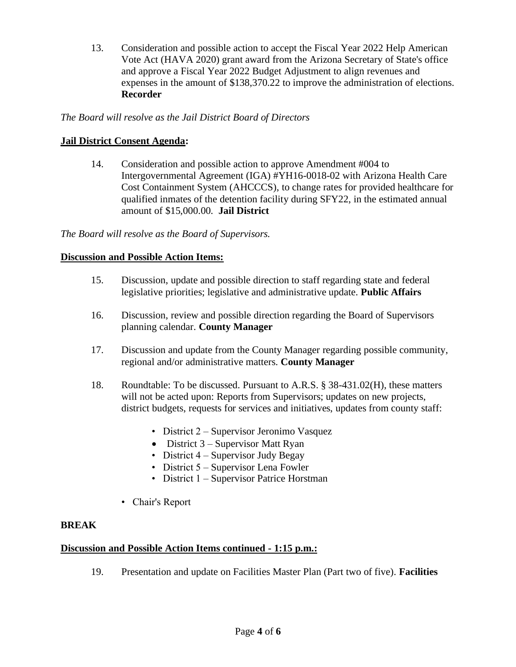13. Consideration and possible action to accept the Fiscal Year 2022 Help American Vote Act (HAVA 2020) grant award from the Arizona Secretary of State's office and approve a Fiscal Year 2022 Budget Adjustment to align revenues and expenses in the amount of \$138,370.22 to improve the administration of elections. **Recorder**

### *The Board will resolve as the Jail District Board of Directors*

### **Jail District Consent Agenda:**

14. Consideration and possible action to approve Amendment #004 to Intergovernmental Agreement (IGA) #YH16-0018-02 with Arizona Health Care Cost Containment System (AHCCCS), to change rates for provided healthcare for qualified inmates of the detention facility during SFY22, in the estimated annual amount of \$15,000.00. **Jail District**

*The Board will resolve as the Board of Supervisors.*

### **Discussion and Possible Action Items:**

- 15. Discussion, update and possible direction to staff regarding state and federal legislative priorities; legislative and administrative update. **Public Affairs**
- 16. Discussion, review and possible direction regarding the Board of Supervisors planning calendar. **County Manager**
- 17. Discussion and update from the County Manager regarding possible community, regional and/or administrative matters. **County Manager**
- 18. Roundtable: To be discussed. Pursuant to A.R.S. § 38-431.02(H), these matters will not be acted upon: Reports from Supervisors; updates on new projects, district budgets, requests for services and initiatives, updates from county staff:
	- District 2 Supervisor Jeronimo Vasquez
	- District  $3$  Supervisor Matt Ryan
	- District 4 Supervisor Judy Begay
	- District 5 Supervisor Lena Fowler
	- District 1 Supervisor Patrice Horstman
	- Chair's Report

### **BREAK**

### **Discussion and Possible Action Items continued - 1:15 p.m.:**

19. Presentation and update on Facilities Master Plan (Part two of five). **Facilities**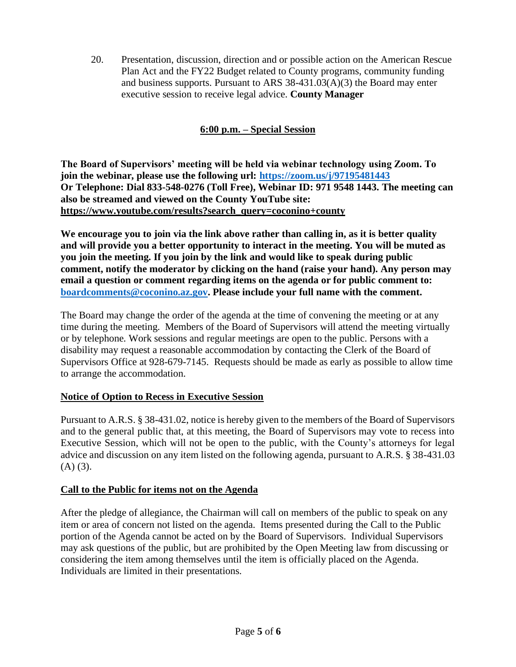20. Presentation, discussion, direction and or possible action on the American Rescue Plan Act and the FY22 Budget related to County programs, community funding and business supports. Pursuant to ARS 38-431.03(A)(3) the Board may enter executive session to receive legal advice. **County Manager**

## **6:00 p.m. – Special Session**

**The Board of Supervisors' meeting will be held via webinar technology using Zoom. To join the webinar, please use the following url:<https://zoom.us/j/97195481443> Or Telephone: Dial 833-548-0276 (Toll Free), Webinar ID: 971 9548 1443. The meeting can also be streamed and viewed on the County YouTube site: [https://www.youtube.com/results?search\\_query=coconino+county](https://www.youtube.com/results?search_query=coconino+county)**

**We encourage you to join via the link above rather than calling in, as it is better quality and will provide you a better opportunity to interact in the meeting. You will be muted as you join the meeting. If you join by the link and would like to speak during public comment, notify the moderator by clicking on the hand (raise your hand). Any person may email a question or comment regarding items on the agenda or for public comment to: [boardcomments@coconino.az.gov.](mailto:boardcomments@coconino.az.gov) Please include your full name with the comment.** 

The Board may change the order of the agenda at the time of convening the meeting or at any time during the meeting. Members of the Board of Supervisors will attend the meeting virtually or by telephone. Work sessions and regular meetings are open to the public. Persons with a disability may request a reasonable accommodation by contacting the Clerk of the Board of Supervisors Office at 928-679-7145. Requests should be made as early as possible to allow time to arrange the accommodation.

### **Notice of Option to Recess in Executive Session**

Pursuant to A.R.S. § 38-431.02, notice is hereby given to the members of the Board of Supervisors and to the general public that, at this meeting, the Board of Supervisors may vote to recess into Executive Session, which will not be open to the public, with the County's attorneys for legal advice and discussion on any item listed on the following agenda, pursuant to A.R.S. § 38-431.03  $(A)$   $(3)$ .

## **Call to the Public for items not on the Agenda**

After the pledge of allegiance, the Chairman will call on members of the public to speak on any item or area of concern not listed on the agenda. Items presented during the Call to the Public portion of the Agenda cannot be acted on by the Board of Supervisors. Individual Supervisors may ask questions of the public, but are prohibited by the Open Meeting law from discussing or considering the item among themselves until the item is officially placed on the Agenda. Individuals are limited in their presentations.